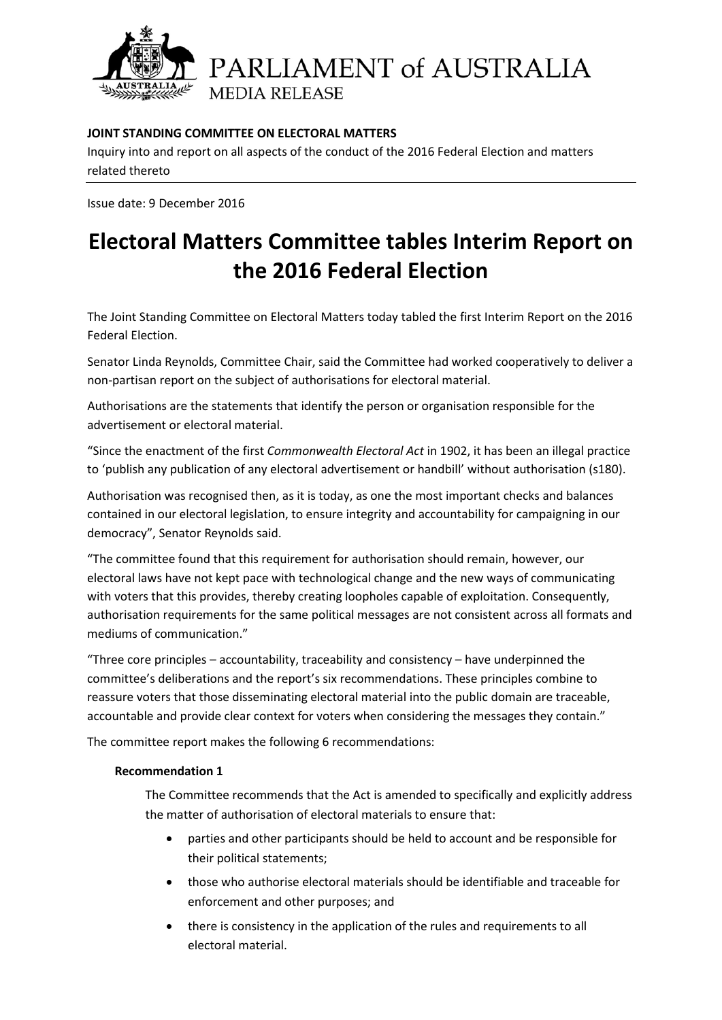

PARLIAMENT of AUSTRALIA **MEDIA RELEASE** 

## **JOINT STANDING COMMITTEE ON ELECTORAL MATTERS**

Inquiry into and report on all aspects of the conduct of the 2016 Federal Election and matters related thereto

Issue date: 9 December 2016

# **Electoral Matters Committee tables Interim Report on the 2016 Federal Election**

The Joint Standing Committee on Electoral Matters today tabled the first Interim Report on the 2016 Federal Election.

Senator Linda Reynolds, Committee Chair, said the Committee had worked cooperatively to deliver a non-partisan report on the subject of authorisations for electoral material.

Authorisations are the statements that identify the person or organisation responsible for the advertisement or electoral material.

"Since the enactment of the first *Commonwealth Electoral Act* in 1902, it has been an illegal practice to 'publish any publication of any electoral advertisement or handbill' without authorisation (s180).

Authorisation was recognised then, as it is today, as one the most important checks and balances contained in our electoral legislation, to ensure integrity and accountability for campaigning in our democracy", Senator Reynolds said.

"The committee found that this requirement for authorisation should remain, however, our electoral laws have not kept pace with technological change and the new ways of communicating with voters that this provides, thereby creating loopholes capable of exploitation. Consequently, authorisation requirements for the same political messages are not consistent across all formats and mediums of communication."

"Three core principles – accountability, traceability and consistency – have underpinned the committee's deliberations and the report's six recommendations. These principles combine to reassure voters that those disseminating electoral material into the public domain are traceable, accountable and provide clear context for voters when considering the messages they contain."

The committee report makes the following 6 recommendations:

#### **Recommendation 1**

The Committee recommends that the Act is amended to specifically and explicitly address the matter of authorisation of electoral materials to ensure that:

- parties and other participants should be held to account and be responsible for their political statements;
- those who authorise electoral materials should be identifiable and traceable for enforcement and other purposes; and
- there is consistency in the application of the rules and requirements to all electoral material.